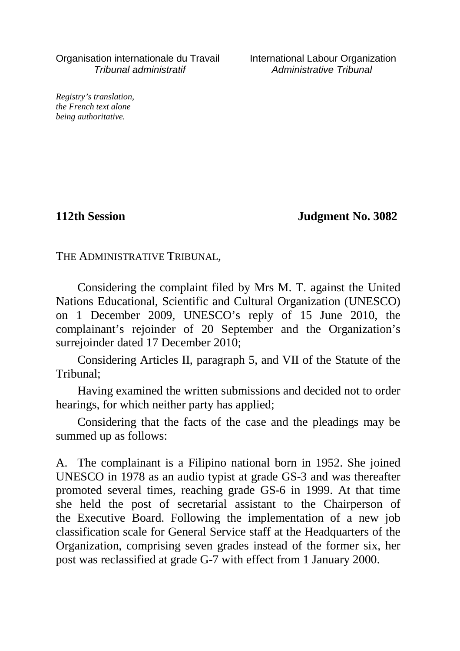Organisation internationale du Travail International Labour Organization Tribunal administratif Administrative Tribunal

*Registry's translation, the French text alone being authoritative.*

**112th Session Judgment No. 3082**

THE ADMINISTRATIVE TRIBUNAL,

Considering the complaint filed by Mrs M. T. against the United Nations Educational, Scientific and Cultural Organization (UNESCO) on 1 December 2009, UNESCO's reply of 15 June 2010, the complainant's rejoinder of 20 September and the Organization's surrejoinder dated 17 December 2010;

Considering Articles II, paragraph 5, and VII of the Statute of the Tribunal;

Having examined the written submissions and decided not to order hearings, for which neither party has applied;

Considering that the facts of the case and the pleadings may be summed up as follows:

A. The complainant is a Filipino national born in 1952. She joined UNESCO in 1978 as an audio typist at grade GS-3 and was thereafter promoted several times, reaching grade GS-6 in 1999. At that time she held the post of secretarial assistant to the Chairperson of the Executive Board. Following the implementation of a new job classification scale for General Service staff at the Headquarters of the Organization, comprising seven grades instead of the former six, her post was reclassified at grade G-7 with effect from 1 January 2000.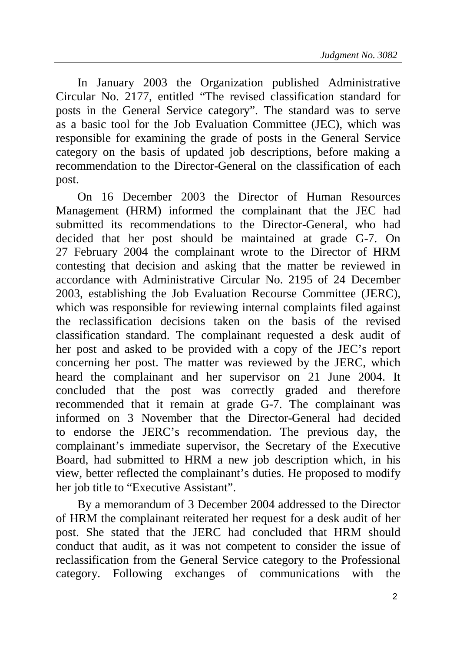In January 2003 the Organization published Administrative Circular No. 2177, entitled "The revised classification standard for posts in the General Service category". The standard was to serve as a basic tool for the Job Evaluation Committee (JEC), which was responsible for examining the grade of posts in the General Service category on the basis of updated job descriptions, before making a recommendation to the Director-General on the classification of each post.

On 16 December 2003 the Director of Human Resources Management (HRM) informed the complainant that the JEC had submitted its recommendations to the Director-General, who had decided that her post should be maintained at grade G-7. On 27 February 2004 the complainant wrote to the Director of HRM contesting that decision and asking that the matter be reviewed in accordance with Administrative Circular No. 2195 of 24 December 2003, establishing the Job Evaluation Recourse Committee (JERC), which was responsible for reviewing internal complaints filed against the reclassification decisions taken on the basis of the revised classification standard. The complainant requested a desk audit of her post and asked to be provided with a copy of the JEC's report concerning her post. The matter was reviewed by the JERC, which heard the complainant and her supervisor on 21 June 2004. It concluded that the post was correctly graded and therefore recommended that it remain at grade G-7. The complainant was informed on 3 November that the Director-General had decided to endorse the JERC's recommendation. The previous day, the complainant's immediate supervisor, the Secretary of the Executive Board, had submitted to HRM a new job description which, in his view, better reflected the complainant's duties. He proposed to modify her job title to "Executive Assistant".

By a memorandum of 3 December 2004 addressed to the Director of HRM the complainant reiterated her request for a desk audit of her post. She stated that the JERC had concluded that HRM should conduct that audit, as it was not competent to consider the issue of reclassification from the General Service category to the Professional category. Following exchanges of communications with the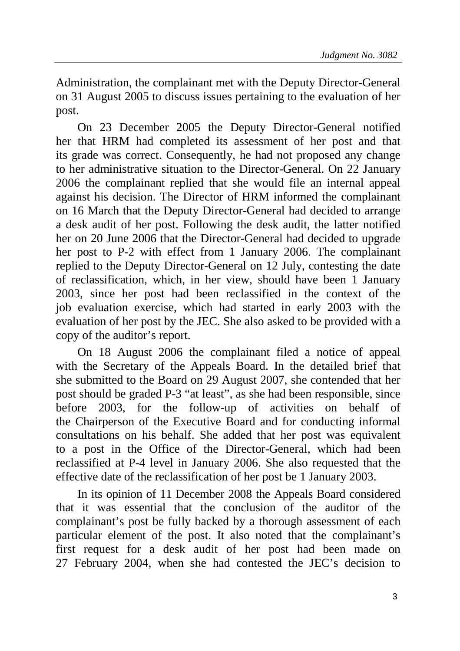Administration, the complainant met with the Deputy Director-General on 31 August 2005 to discuss issues pertaining to the evaluation of her post.

On 23 December 2005 the Deputy Director-General notified her that HRM had completed its assessment of her post and that its grade was correct. Consequently, he had not proposed any change to her administrative situation to the Director-General. On 22 January 2006 the complainant replied that she would file an internal appeal against his decision. The Director of HRM informed the complainant on 16 March that the Deputy Director-General had decided to arrange a desk audit of her post. Following the desk audit, the latter notified her on 20 June 2006 that the Director-General had decided to upgrade her post to P-2 with effect from 1 January 2006. The complainant replied to the Deputy Director-General on 12 July, contesting the date of reclassification, which, in her view, should have been 1 January 2003, since her post had been reclassified in the context of the job evaluation exercise, which had started in early 2003 with the evaluation of her post by the JEC. She also asked to be provided with a copy of the auditor's report.

On 18 August 2006 the complainant filed a notice of appeal with the Secretary of the Appeals Board. In the detailed brief that she submitted to the Board on 29 August 2007, she contended that her post should be graded P-3 "at least", as she had been responsible, since before 2003, for the follow-up of activities on behalf of the Chairperson of the Executive Board and for conducting informal consultations on his behalf. She added that her post was equivalent to a post in the Office of the Director-General, which had been reclassified at P-4 level in January 2006. She also requested that the effective date of the reclassification of her post be 1 January 2003.

In its opinion of 11 December 2008 the Appeals Board considered that it was essential that the conclusion of the auditor of the complainant's post be fully backed by a thorough assessment of each particular element of the post. It also noted that the complainant's first request for a desk audit of her post had been made on 27 February 2004, when she had contested the JEC's decision to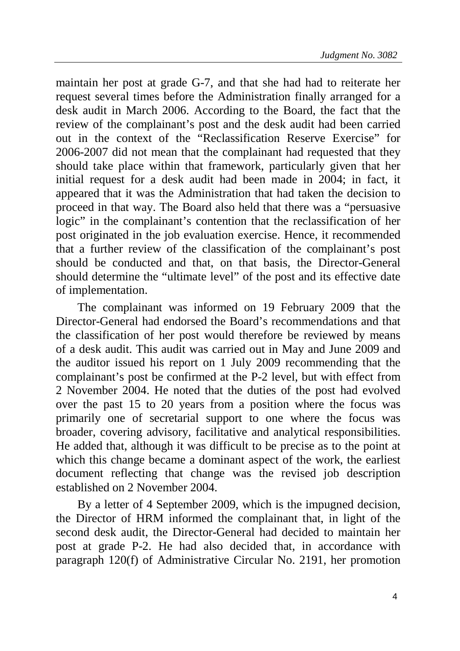maintain her post at grade G-7, and that she had had to reiterate her request several times before the Administration finally arranged for a desk audit in March 2006. According to the Board, the fact that the review of the complainant's post and the desk audit had been carried out in the context of the "Reclassification Reserve Exercise" for 2006-2007 did not mean that the complainant had requested that they should take place within that framework, particularly given that her initial request for a desk audit had been made in 2004; in fact, it appeared that it was the Administration that had taken the decision to proceed in that way. The Board also held that there was a "persuasive logic" in the complainant's contention that the reclassification of her post originated in the job evaluation exercise. Hence, it recommended that a further review of the classification of the complainant's post should be conducted and that, on that basis, the Director-General should determine the "ultimate level" of the post and its effective date of implementation.

The complainant was informed on 19 February 2009 that the Director-General had endorsed the Board's recommendations and that the classification of her post would therefore be reviewed by means of a desk audit. This audit was carried out in May and June 2009 and the auditor issued his report on 1 July 2009 recommending that the complainant's post be confirmed at the P-2 level, but with effect from 2 November 2004. He noted that the duties of the post had evolved over the past 15 to 20 years from a position where the focus was primarily one of secretarial support to one where the focus was broader, covering advisory, facilitative and analytical responsibilities. He added that, although it was difficult to be precise as to the point at which this change became a dominant aspect of the work, the earliest document reflecting that change was the revised job description established on 2 November 2004.

By a letter of 4 September 2009, which is the impugned decision, the Director of HRM informed the complainant that, in light of the second desk audit, the Director-General had decided to maintain her post at grade P-2. He had also decided that, in accordance with paragraph 120(f) of Administrative Circular No. 2191, her promotion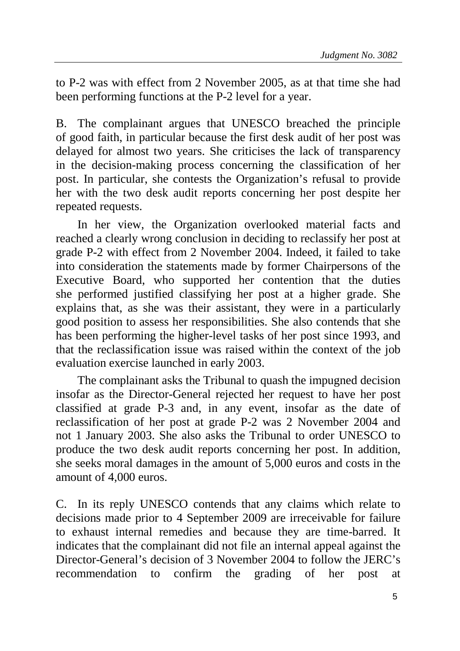to P-2 was with effect from 2 November 2005, as at that time she had been performing functions at the P-2 level for a year.

B. The complainant argues that UNESCO breached the principle of good faith, in particular because the first desk audit of her post was delayed for almost two years. She criticises the lack of transparency in the decision-making process concerning the classification of her post. In particular, she contests the Organization's refusal to provide her with the two desk audit reports concerning her post despite her repeated requests.

In her view, the Organization overlooked material facts and reached a clearly wrong conclusion in deciding to reclassify her post at grade P-2 with effect from 2 November 2004. Indeed, it failed to take into consideration the statements made by former Chairpersons of the Executive Board, who supported her contention that the duties she performed justified classifying her post at a higher grade. She explains that, as she was their assistant, they were in a particularly good position to assess her responsibilities. She also contends that she has been performing the higher-level tasks of her post since 1993, and that the reclassification issue was raised within the context of the job evaluation exercise launched in early 2003.

The complainant asks the Tribunal to quash the impugned decision insofar as the Director-General rejected her request to have her post classified at grade P-3 and, in any event, insofar as the date of reclassification of her post at grade P-2 was 2 November 2004 and not 1 January 2003. She also asks the Tribunal to order UNESCO to produce the two desk audit reports concerning her post. In addition, she seeks moral damages in the amount of 5,000 euros and costs in the amount of 4,000 euros.

C. In its reply UNESCO contends that any claims which relate to decisions made prior to 4 September 2009 are irreceivable for failure to exhaust internal remedies and because they are time-barred. It indicates that the complainant did not file an internal appeal against the Director-General's decision of 3 November 2004 to follow the JERC's recommendation to confirm the grading of her post at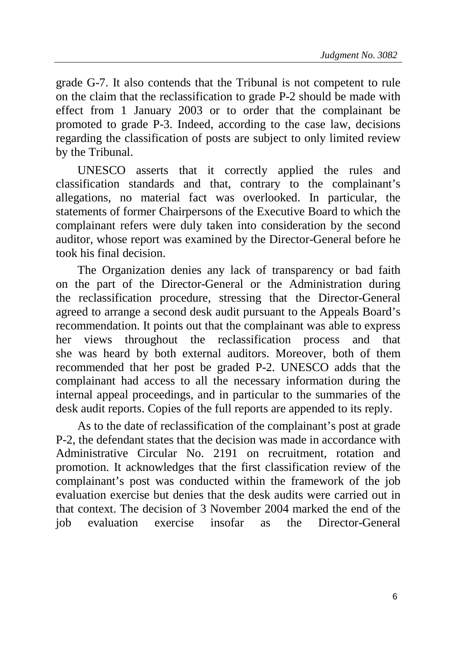grade G-7. It also contends that the Tribunal is not competent to rule on the claim that the reclassification to grade P-2 should be made with effect from 1 January 2003 or to order that the complainant be promoted to grade P-3. Indeed, according to the case law, decisions regarding the classification of posts are subject to only limited review by the Tribunal.

UNESCO asserts that it correctly applied the rules and classification standards and that, contrary to the complainant's allegations, no material fact was overlooked. In particular, the statements of former Chairpersons of the Executive Board to which the complainant refers were duly taken into consideration by the second auditor, whose report was examined by the Director-General before he took his final decision.

The Organization denies any lack of transparency or bad faith on the part of the Director-General or the Administration during the reclassification procedure, stressing that the Director-General agreed to arrange a second desk audit pursuant to the Appeals Board's recommendation. It points out that the complainant was able to express her views throughout the reclassification process and that she was heard by both external auditors. Moreover, both of them recommended that her post be graded P-2. UNESCO adds that the complainant had access to all the necessary information during the internal appeal proceedings, and in particular to the summaries of the desk audit reports. Copies of the full reports are appended to its reply.

As to the date of reclassification of the complainant's post at grade P-2, the defendant states that the decision was made in accordance with Administrative Circular No. 2191 on recruitment, rotation and promotion. It acknowledges that the first classification review of the complainant's post was conducted within the framework of the job evaluation exercise but denies that the desk audits were carried out in that context. The decision of 3 November 2004 marked the end of the job evaluation exercise insofar as the Director-General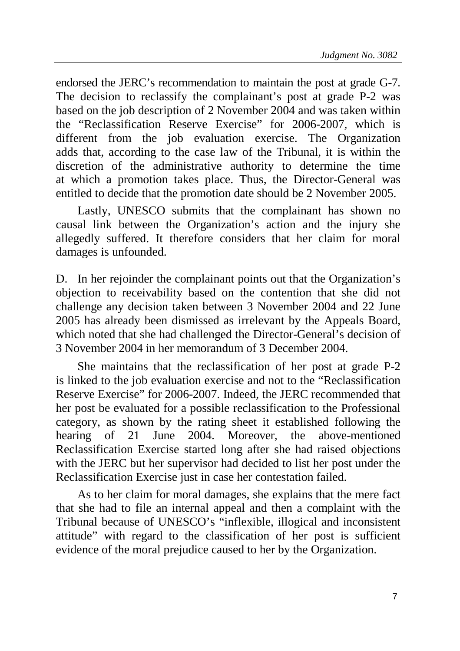endorsed the JERC's recommendation to maintain the post at grade G-7. The decision to reclassify the complainant's post at grade P-2 was based on the job description of 2 November 2004 and was taken within the "Reclassification Reserve Exercise" for 2006-2007, which is different from the job evaluation exercise. The Organization adds that, according to the case law of the Tribunal, it is within the discretion of the administrative authority to determine the time at which a promotion takes place. Thus, the Director-General was entitled to decide that the promotion date should be 2 November 2005.

Lastly, UNESCO submits that the complainant has shown no causal link between the Organization's action and the injury she allegedly suffered. It therefore considers that her claim for moral damages is unfounded.

D. In her rejoinder the complainant points out that the Organization's objection to receivability based on the contention that she did not challenge any decision taken between 3 November 2004 and 22 June 2005 has already been dismissed as irrelevant by the Appeals Board, which noted that she had challenged the Director-General's decision of 3 November 2004 in her memorandum of 3 December 2004.

She maintains that the reclassification of her post at grade P-2 is linked to the job evaluation exercise and not to the "Reclassification Reserve Exercise" for 2006-2007. Indeed, the JERC recommended that her post be evaluated for a possible reclassification to the Professional category, as shown by the rating sheet it established following the hearing of 21 June 2004. Moreover, the above-mentioned Reclassification Exercise started long after she had raised objections with the JERC but her supervisor had decided to list her post under the Reclassification Exercise just in case her contestation failed.

As to her claim for moral damages, she explains that the mere fact that she had to file an internal appeal and then a complaint with the Tribunal because of UNESCO's "inflexible, illogical and inconsistent attitude" with regard to the classification of her post is sufficient evidence of the moral prejudice caused to her by the Organization.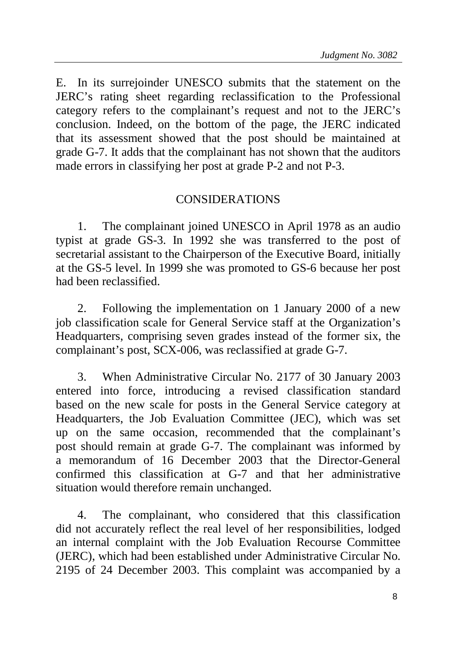E. In its surrejoinder UNESCO submits that the statement on the JERC's rating sheet regarding reclassification to the Professional category refers to the complainant's request and not to the JERC's conclusion. Indeed, on the bottom of the page, the JERC indicated that its assessment showed that the post should be maintained at grade G-7. It adds that the complainant has not shown that the auditors made errors in classifying her post at grade P-2 and not P-3.

## CONSIDERATIONS

1. The complainant joined UNESCO in April 1978 as an audio typist at grade GS-3. In 1992 she was transferred to the post of secretarial assistant to the Chairperson of the Executive Board, initially at the GS-5 level. In 1999 she was promoted to GS-6 because her post had been reclassified.

2. Following the implementation on 1 January 2000 of a new job classification scale for General Service staff at the Organization's Headquarters, comprising seven grades instead of the former six, the complainant's post, SCX-006, was reclassified at grade G-7.

3. When Administrative Circular No. 2177 of 30 January 2003 entered into force, introducing a revised classification standard based on the new scale for posts in the General Service category at Headquarters, the Job Evaluation Committee (JEC), which was set up on the same occasion, recommended that the complainant's post should remain at grade G-7. The complainant was informed by a memorandum of 16 December 2003 that the Director-General confirmed this classification at G-7 and that her administrative situation would therefore remain unchanged.

4. The complainant, who considered that this classification did not accurately reflect the real level of her responsibilities, lodged an internal complaint with the Job Evaluation Recourse Committee (JERC), which had been established under Administrative Circular No. 2195 of 24 December 2003. This complaint was accompanied by a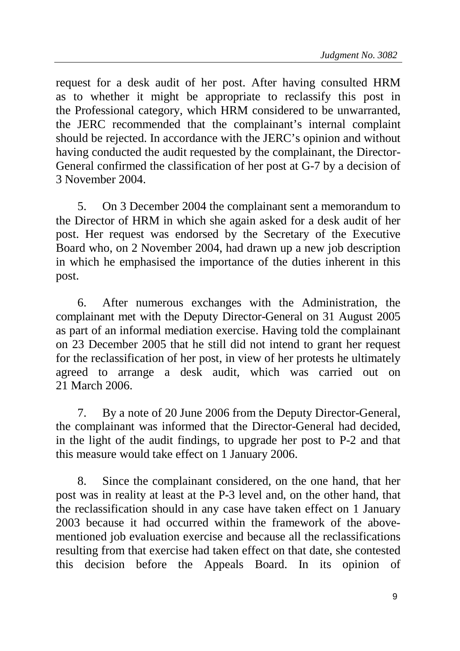request for a desk audit of her post. After having consulted HRM as to whether it might be appropriate to reclassify this post in the Professional category, which HRM considered to be unwarranted, the JERC recommended that the complainant's internal complaint should be rejected. In accordance with the JERC's opinion and without having conducted the audit requested by the complainant, the Director-General confirmed the classification of her post at G-7 by a decision of 3 November 2004.

5. On 3 December 2004 the complainant sent a memorandum to the Director of HRM in which she again asked for a desk audit of her post. Her request was endorsed by the Secretary of the Executive Board who, on 2 November 2004, had drawn up a new job description in which he emphasised the importance of the duties inherent in this post.

6. After numerous exchanges with the Administration, the complainant met with the Deputy Director-General on 31 August 2005 as part of an informal mediation exercise. Having told the complainant on 23 December 2005 that he still did not intend to grant her request for the reclassification of her post, in view of her protests he ultimately agreed to arrange a desk audit, which was carried out on 21 March 2006.

7. By a note of 20 June 2006 from the Deputy Director-General, the complainant was informed that the Director-General had decided, in the light of the audit findings, to upgrade her post to P-2 and that this measure would take effect on 1 January 2006.

8. Since the complainant considered, on the one hand, that her post was in reality at least at the P-3 level and, on the other hand, that the reclassification should in any case have taken effect on 1 January 2003 because it had occurred within the framework of the abovementioned job evaluation exercise and because all the reclassifications resulting from that exercise had taken effect on that date, she contested this decision before the Appeals Board. In its opinion of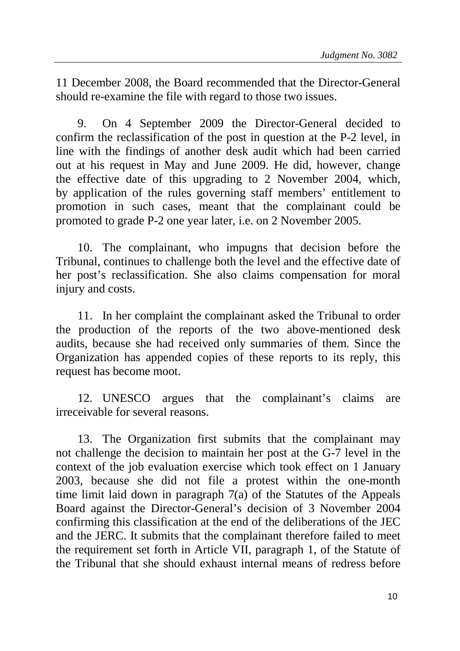11 December 2008, the Board recommended that the Director-General should re-examine the file with regard to those two issues.

9. On 4 September 2009 the Director-General decided to confirm the reclassification of the post in question at the P-2 level, in line with the findings of another desk audit which had been carried out at his request in May and June 2009. He did, however, change the effective date of this upgrading to 2 November 2004, which, by application of the rules governing staff members' entitlement to promotion in such cases, meant that the complainant could be promoted to grade P-2 one year later, i.e. on 2 November 2005.

10. The complainant, who impugns that decision before the Tribunal, continues to challenge both the level and the effective date of her post's reclassification. She also claims compensation for moral injury and costs.

11. In her complaint the complainant asked the Tribunal to order the production of the reports of the two above-mentioned desk audits, because she had received only summaries of them. Since the Organization has appended copies of these reports to its reply, this request has become moot.

12. UNESCO argues that the complainant's claims are irreceivable for several reasons.

13. The Organization first submits that the complainant may not challenge the decision to maintain her post at the G-7 level in the context of the job evaluation exercise which took effect on 1 January 2003, because she did not file a protest within the one-month time limit laid down in paragraph 7(a) of the Statutes of the Appeals Board against the Director-General's decision of 3 November 2004 confirming this classification at the end of the deliberations of the JEC and the JERC. It submits that the complainant therefore failed to meet the requirement set forth in Article VII, paragraph 1, of the Statute of the Tribunal that she should exhaust internal means of redress before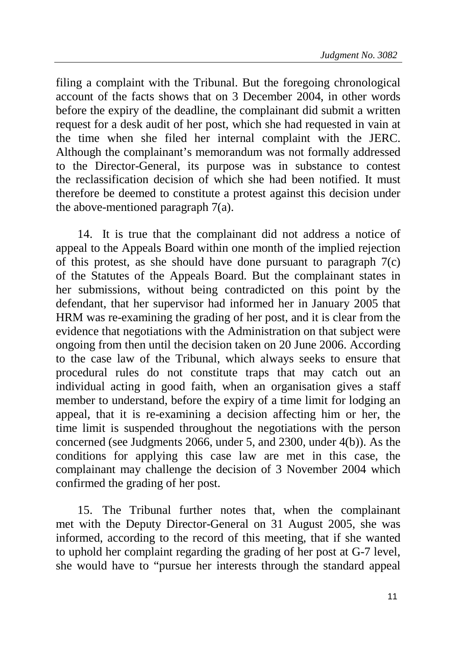filing a complaint with the Tribunal. But the foregoing chronological account of the facts shows that on 3 December 2004, in other words before the expiry of the deadline, the complainant did submit a written request for a desk audit of her post, which she had requested in vain at the time when she filed her internal complaint with the JERC. Although the complainant's memorandum was not formally addressed to the Director-General, its purpose was in substance to contest the reclassification decision of which she had been notified. It must therefore be deemed to constitute a protest against this decision under the above-mentioned paragraph 7(a).

14. It is true that the complainant did not address a notice of appeal to the Appeals Board within one month of the implied rejection of this protest, as she should have done pursuant to paragraph 7(c) of the Statutes of the Appeals Board. But the complainant states in her submissions, without being contradicted on this point by the defendant, that her supervisor had informed her in January 2005 that HRM was re-examining the grading of her post, and it is clear from the evidence that negotiations with the Administration on that subject were ongoing from then until the decision taken on 20 June 2006. According to the case law of the Tribunal, which always seeks to ensure that procedural rules do not constitute traps that may catch out an individual acting in good faith, when an organisation gives a staff member to understand, before the expiry of a time limit for lodging an appeal, that it is re-examining a decision affecting him or her, the time limit is suspended throughout the negotiations with the person concerned (see Judgments 2066, under 5, and 2300, under 4(b)). As the conditions for applying this case law are met in this case, the complainant may challenge the decision of 3 November 2004 which confirmed the grading of her post.

15. The Tribunal further notes that, when the complainant met with the Deputy Director-General on 31 August 2005, she was informed, according to the record of this meeting, that if she wanted to uphold her complaint regarding the grading of her post at G-7 level, she would have to "pursue her interests through the standard appeal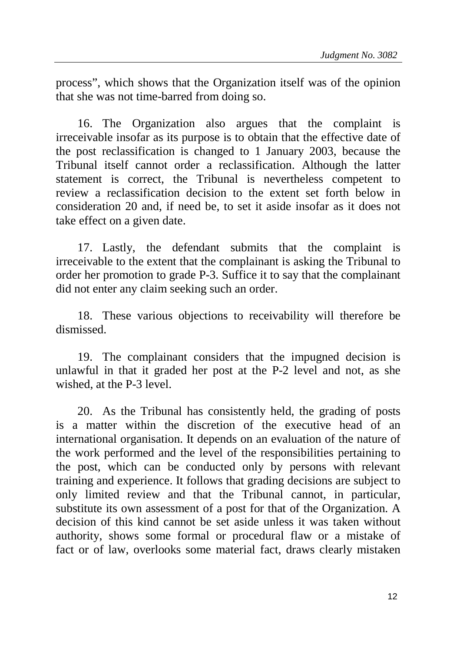process", which shows that the Organization itself was of the opinion that she was not time-barred from doing so.

16. The Organization also argues that the complaint is irreceivable insofar as its purpose is to obtain that the effective date of the post reclassification is changed to 1 January 2003, because the Tribunal itself cannot order a reclassification. Although the latter statement is correct, the Tribunal is nevertheless competent to review a reclassification decision to the extent set forth below in consideration 20 and, if need be, to set it aside insofar as it does not take effect on a given date.

17. Lastly, the defendant submits that the complaint is irreceivable to the extent that the complainant is asking the Tribunal to order her promotion to grade P-3. Suffice it to say that the complainant did not enter any claim seeking such an order.

18. These various objections to receivability will therefore be dismissed.

19. The complainant considers that the impugned decision is unlawful in that it graded her post at the P-2 level and not, as she wished, at the P-3 level.

20. As the Tribunal has consistently held, the grading of posts is a matter within the discretion of the executive head of an international organisation. It depends on an evaluation of the nature of the work performed and the level of the responsibilities pertaining to the post, which can be conducted only by persons with relevant training and experience. It follows that grading decisions are subject to only limited review and that the Tribunal cannot, in particular, substitute its own assessment of a post for that of the Organization. A decision of this kind cannot be set aside unless it was taken without authority, shows some formal or procedural flaw or a mistake of fact or of law, overlooks some material fact, draws clearly mistaken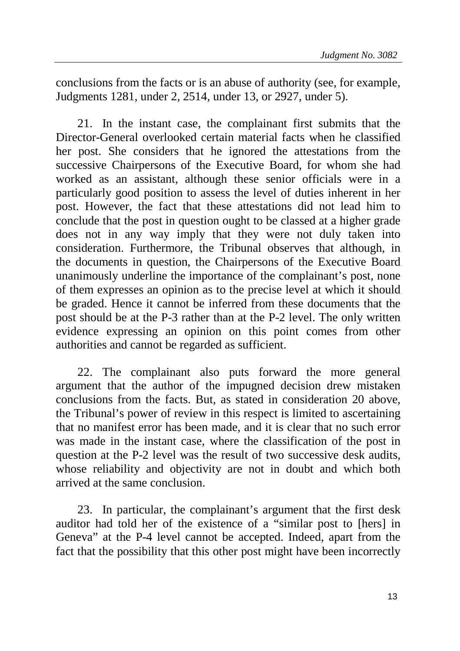conclusions from the facts or is an abuse of authority (see, for example, Judgments 1281, under 2, 2514, under 13, or 2927, under 5).

21. In the instant case, the complainant first submits that the Director-General overlooked certain material facts when he classified her post. She considers that he ignored the attestations from the successive Chairpersons of the Executive Board, for whom she had worked as an assistant, although these senior officials were in a particularly good position to assess the level of duties inherent in her post. However, the fact that these attestations did not lead him to conclude that the post in question ought to be classed at a higher grade does not in any way imply that they were not duly taken into consideration. Furthermore, the Tribunal observes that although, in the documents in question, the Chairpersons of the Executive Board unanimously underline the importance of the complainant's post, none of them expresses an opinion as to the precise level at which it should be graded. Hence it cannot be inferred from these documents that the post should be at the P-3 rather than at the P-2 level. The only written evidence expressing an opinion on this point comes from other authorities and cannot be regarded as sufficient.

22. The complainant also puts forward the more general argument that the author of the impugned decision drew mistaken conclusions from the facts. But, as stated in consideration 20 above, the Tribunal's power of review in this respect is limited to ascertaining that no manifest error has been made, and it is clear that no such error was made in the instant case, where the classification of the post in question at the P-2 level was the result of two successive desk audits, whose reliability and objectivity are not in doubt and which both arrived at the same conclusion.

23. In particular, the complainant's argument that the first desk auditor had told her of the existence of a "similar post to [hers] in Geneva" at the P-4 level cannot be accepted. Indeed, apart from the fact that the possibility that this other post might have been incorrectly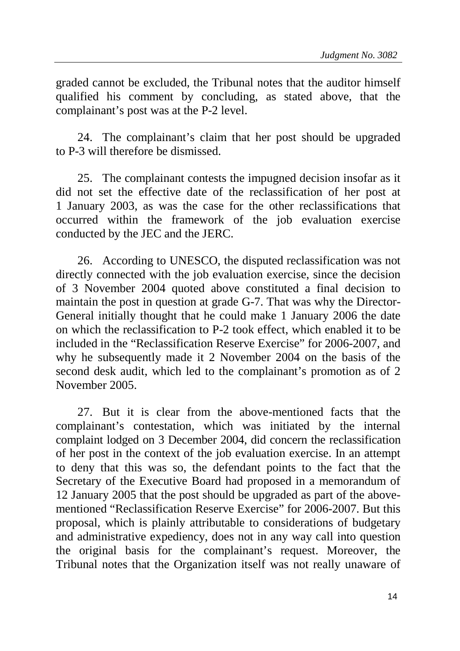graded cannot be excluded, the Tribunal notes that the auditor himself qualified his comment by concluding, as stated above, that the complainant's post was at the P-2 level.

24. The complainant's claim that her post should be upgraded to P-3 will therefore be dismissed.

25. The complainant contests the impugned decision insofar as it did not set the effective date of the reclassification of her post at 1 January 2003, as was the case for the other reclassifications that occurred within the framework of the job evaluation exercise conducted by the JEC and the JERC.

26. According to UNESCO, the disputed reclassification was not directly connected with the job evaluation exercise, since the decision of 3 November 2004 quoted above constituted a final decision to maintain the post in question at grade G-7. That was why the Director-General initially thought that he could make 1 January 2006 the date on which the reclassification to P-2 took effect, which enabled it to be included in the "Reclassification Reserve Exercise" for 2006-2007, and why he subsequently made it 2 November 2004 on the basis of the second desk audit, which led to the complainant's promotion as of 2 November 2005.

27. But it is clear from the above-mentioned facts that the complainant's contestation, which was initiated by the internal complaint lodged on 3 December 2004, did concern the reclassification of her post in the context of the job evaluation exercise. In an attempt to deny that this was so, the defendant points to the fact that the Secretary of the Executive Board had proposed in a memorandum of 12 January 2005 that the post should be upgraded as part of the abovementioned "Reclassification Reserve Exercise" for 2006-2007. But this proposal, which is plainly attributable to considerations of budgetary and administrative expediency, does not in any way call into question the original basis for the complainant's request. Moreover, the Tribunal notes that the Organization itself was not really unaware of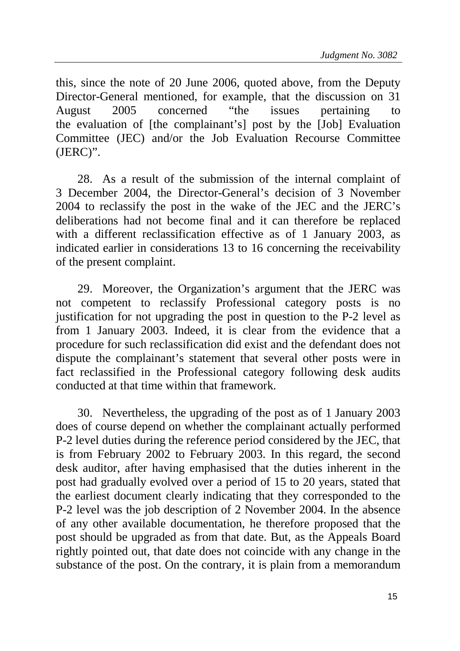this, since the note of 20 June 2006, quoted above, from the Deputy Director-General mentioned, for example, that the discussion on 31 August 2005 concerned "the issues pertaining to the evaluation of [the complainant's] post by the [Job] Evaluation Committee (JEC) and/or the Job Evaluation Recourse Committee (JERC)".

28. As a result of the submission of the internal complaint of 3 December 2004, the Director-General's decision of 3 November 2004 to reclassify the post in the wake of the JEC and the JERC's deliberations had not become final and it can therefore be replaced with a different reclassification effective as of 1 January 2003, as indicated earlier in considerations 13 to 16 concerning the receivability of the present complaint.

29. Moreover, the Organization's argument that the JERC was not competent to reclassify Professional category posts is no justification for not upgrading the post in question to the P-2 level as from 1 January 2003. Indeed, it is clear from the evidence that a procedure for such reclassification did exist and the defendant does not dispute the complainant's statement that several other posts were in fact reclassified in the Professional category following desk audits conducted at that time within that framework.

30. Nevertheless, the upgrading of the post as of 1 January 2003 does of course depend on whether the complainant actually performed P-2 level duties during the reference period considered by the JEC, that is from February 2002 to February 2003. In this regard, the second desk auditor, after having emphasised that the duties inherent in the post had gradually evolved over a period of 15 to 20 years, stated that the earliest document clearly indicating that they corresponded to the P-2 level was the job description of 2 November 2004. In the absence of any other available documentation, he therefore proposed that the post should be upgraded as from that date. But, as the Appeals Board rightly pointed out, that date does not coincide with any change in the substance of the post. On the contrary, it is plain from a memorandum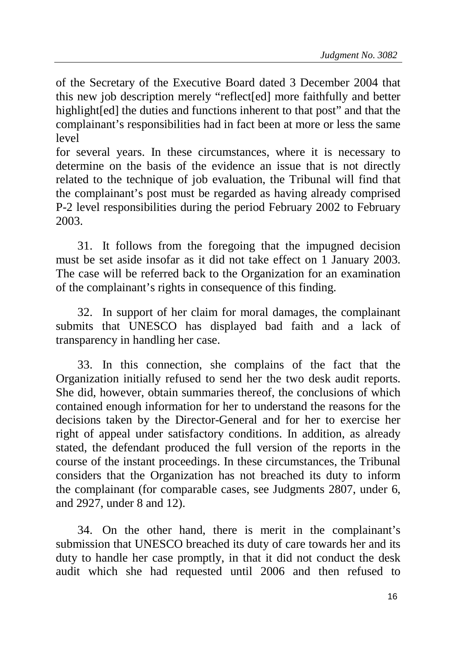of the Secretary of the Executive Board dated 3 December 2004 that this new job description merely "reflect[ed] more faithfully and better highlight[ed] the duties and functions inherent to that post" and that the complainant's responsibilities had in fact been at more or less the same level

for several years. In these circumstances, where it is necessary to determine on the basis of the evidence an issue that is not directly related to the technique of job evaluation, the Tribunal will find that the complainant's post must be regarded as having already comprised P-2 level responsibilities during the period February 2002 to February 2003.

31. It follows from the foregoing that the impugned decision must be set aside insofar as it did not take effect on 1 January 2003. The case will be referred back to the Organization for an examination of the complainant's rights in consequence of this finding.

32. In support of her claim for moral damages, the complainant submits that UNESCO has displayed bad faith and a lack of transparency in handling her case.

33. In this connection, she complains of the fact that the Organization initially refused to send her the two desk audit reports. She did, however, obtain summaries thereof, the conclusions of which contained enough information for her to understand the reasons for the decisions taken by the Director-General and for her to exercise her right of appeal under satisfactory conditions. In addition, as already stated, the defendant produced the full version of the reports in the course of the instant proceedings. In these circumstances, the Tribunal considers that the Organization has not breached its duty to inform the complainant (for comparable cases, see Judgments 2807, under 6, and 2927, under 8 and 12).

34. On the other hand, there is merit in the complainant's submission that UNESCO breached its duty of care towards her and its duty to handle her case promptly, in that it did not conduct the desk audit which she had requested until 2006 and then refused to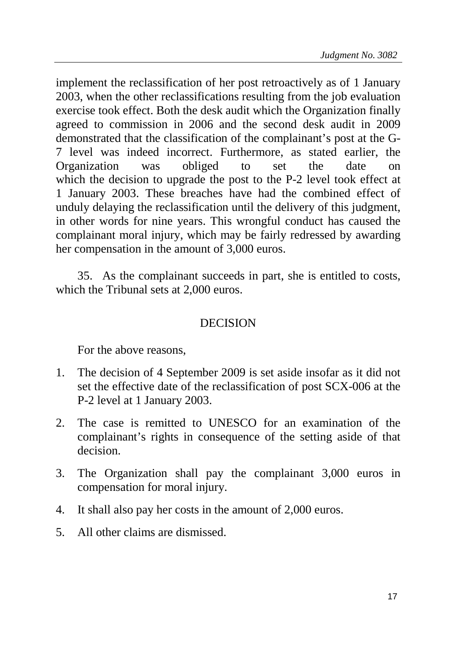implement the reclassification of her post retroactively as of 1 January 2003, when the other reclassifications resulting from the job evaluation exercise took effect. Both the desk audit which the Organization finally agreed to commission in 2006 and the second desk audit in 2009 demonstrated that the classification of the complainant's post at the G-7 level was indeed incorrect. Furthermore, as stated earlier, the Organization was obliged to set the date on which the decision to upgrade the post to the P-2 level took effect at 1 January 2003. These breaches have had the combined effect of unduly delaying the reclassification until the delivery of this judgment, in other words for nine years. This wrongful conduct has caused the complainant moral injury, which may be fairly redressed by awarding her compensation in the amount of 3,000 euros.

35. As the complainant succeeds in part, she is entitled to costs, which the Tribunal sets at 2,000 euros.

## DECISION

For the above reasons,

- 1. The decision of 4 September 2009 is set aside insofar as it did not set the effective date of the reclassification of post SCX-006 at the P-2 level at 1 January 2003.
- 2. The case is remitted to UNESCO for an examination of the complainant's rights in consequence of the setting aside of that decision.
- 3. The Organization shall pay the complainant 3,000 euros in compensation for moral injury.
- 4. It shall also pay her costs in the amount of 2,000 euros.
- 5. All other claims are dismissed.